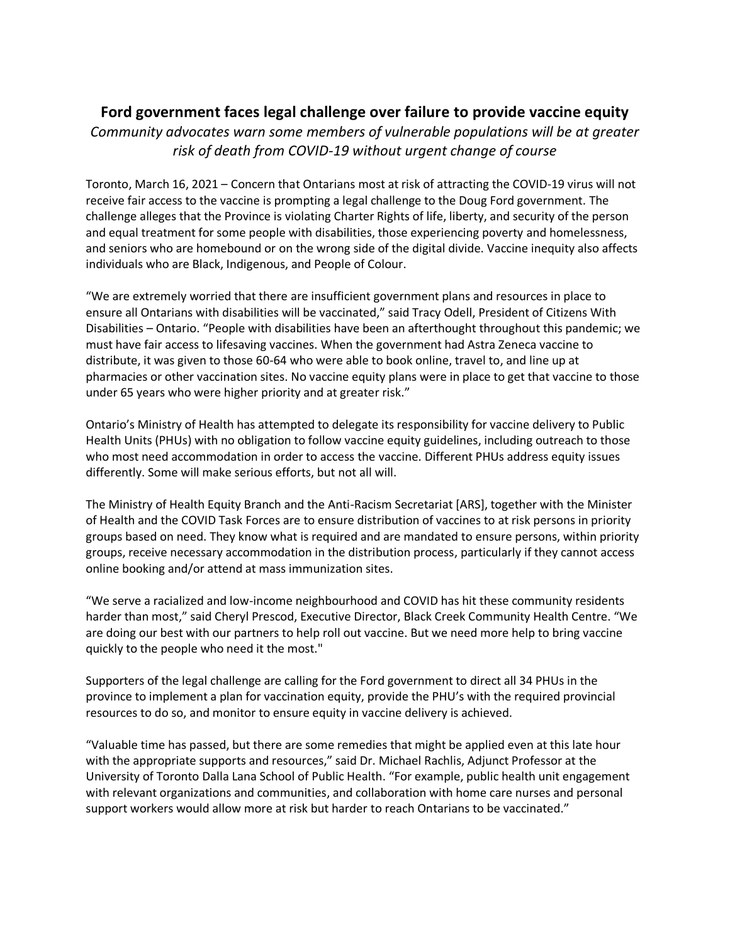## **Ford government faces legal challenge over failure to provide vaccine equity**

*Community advocates warn some members of vulnerable populations will be at greater risk of death from COVID-19 without urgent change of course*

Toronto, March 16, 2021 – Concern that Ontarians most at risk of attracting the COVID-19 virus will not receive fair access to the vaccine is prompting a legal challenge to the Doug Ford government. The challenge alleges that the Province is violating Charter Rights of life, liberty, and security of the person and equal treatment for some people with disabilities, those experiencing poverty and homelessness, and seniors who are homebound or on the wrong side of the digital divide. Vaccine inequity also affects individuals who are Black, Indigenous, and People of Colour.

"We are extremely worried that there are insufficient government plans and resources in place to ensure all Ontarians with disabilities will be vaccinated," said Tracy Odell, President of Citizens With Disabilities – Ontario. "People with disabilities have been an afterthought throughout this pandemic; we must have fair access to lifesaving vaccines. When the government had Astra Zeneca vaccine to distribute, it was given to those 60-64 who were able to book online, travel to, and line up at pharmacies or other vaccination sites. No vaccine equity plans were in place to get that vaccine to those under 65 years who were higher priority and at greater risk."

Ontario's Ministry of Health has attempted to delegate its responsibility for vaccine delivery to Public Health Units (PHUs) with no obligation to follow vaccine equity guidelines, including outreach to those who most need accommodation in order to access the vaccine. Different PHUs address equity issues differently. Some will make serious efforts, but not all will.

The Ministry of Health Equity Branch and the Anti-Racism Secretariat [ARS], together with the Minister of Health and the COVID Task Forces are to ensure distribution of vaccines to at risk persons in priority groups based on need. They know what is required and are mandated to ensure persons, within priority groups, receive necessary accommodation in the distribution process, particularly if they cannot access online booking and/or attend at mass immunization sites.

"We serve a racialized and low-income neighbourhood and COVID has hit these community residents harder than most," said Cheryl Prescod, Executive Director, Black Creek Community Health Centre. "We are doing our best with our partners to help roll out vaccine. But we need more help to bring vaccine quickly to the people who need it the most."

Supporters of the legal challenge are calling for the Ford government to direct all 34 PHUs in the province to implement a plan for vaccination equity, provide the PHU's with the required provincial resources to do so, and monitor to ensure equity in vaccine delivery is achieved.

"Valuable time has passed, but there are some remedies that might be applied even at this late hour with the appropriate supports and resources," said Dr. Michael Rachlis, Adjunct Professor at the University of Toronto Dalla Lana School of Public Health. "For example, public health unit engagement with relevant organizations and communities, and collaboration with home care nurses and personal support workers would allow more at risk but harder to reach Ontarians to be vaccinated."